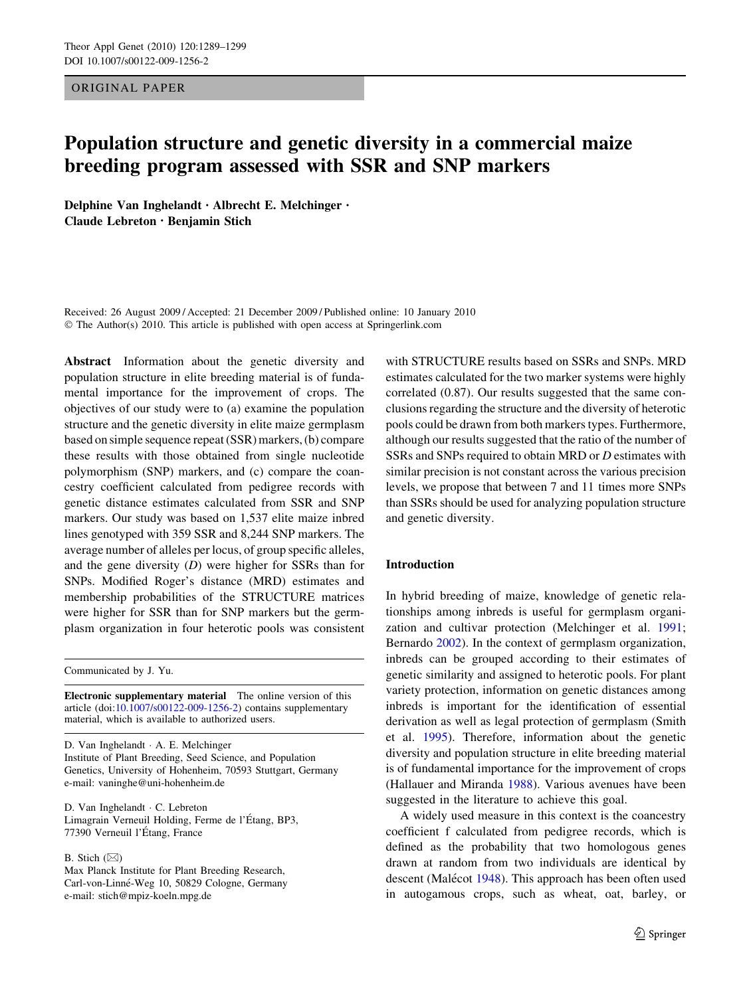ORIGINAL PAPER

# Population structure and genetic diversity in a commercial maize breeding program assessed with SSR and SNP markers

Delphine Van Inghelandt • Albrecht E. Melchinger • Claude Lebreton • Benjamin Stich

Received: 26 August 2009 / Accepted: 21 December 2009 / Published online: 10 January 2010  $\odot$  The Author(s) 2010. This article is published with open access at Springerlink.com

Abstract Information about the genetic diversity and population structure in elite breeding material is of fundamental importance for the improvement of crops. The objectives of our study were to (a) examine the population structure and the genetic diversity in elite maize germplasm based on simple sequence repeat (SSR) markers, (b) compare these results with those obtained from single nucleotide polymorphism (SNP) markers, and (c) compare the coancestry coefficient calculated from pedigree records with genetic distance estimates calculated from SSR and SNP markers. Our study was based on 1,537 elite maize inbred lines genotyped with 359 SSR and 8,244 SNP markers. The average number of alleles per locus, of group specific alleles, and the gene diversity  $(D)$  were higher for SSRs than for SNPs. Modified Roger's distance (MRD) estimates and membership probabilities of the STRUCTURE matrices were higher for SSR than for SNP markers but the germplasm organization in four heterotic pools was consistent

Communicated by J. Yu.

Electronic supplementary material The online version of this article (doi:[10.1007/s00122-009-1256-2\)](http://dx.doi.org/10.1007/s00122-009-1256-2) contains supplementary material, which is available to authorized users.

D. Van Inghelandt · A. E. Melchinger Institute of Plant Breeding, Seed Science, and Population Genetics, University of Hohenheim, 70593 Stuttgart, Germany e-mail: vaninghe@uni-hohenheim.de

D. Van Inghelandt · C. Lebreton Limagrain Verneuil Holding, Ferme de l'Étang, BP3, 77390 Verneuil l'Étang, France

B. Stich  $(\boxtimes)$ 

Max Planck Institute for Plant Breeding Research, Carl-von-Linné-Weg 10, 50829 Cologne, Germany e-mail: stich@mpiz-koeln.mpg.de

with STRUCTURE results based on SSRs and SNPs. MRD estimates calculated for the two marker systems were highly correlated (0.87). Our results suggested that the same conclusions regarding the structure and the diversity of heterotic pools could be drawn from both markers types. Furthermore, although our results suggested that the ratio of the number of SSRs and SNPs required to obtain MRD or D estimates with similar precision is not constant across the various precision levels, we propose that between 7 and 11 times more SNPs than SSRs should be used for analyzing population structure and genetic diversity.

# Introduction

In hybrid breeding of maize, knowledge of genetic relationships among inbreds is useful for germplasm organization and cultivar protection (Melchinger et al. [1991](#page-9-0); Bernardo [2002](#page-9-0)). In the context of germplasm organization, inbreds can be grouped according to their estimates of genetic similarity and assigned to heterotic pools. For plant variety protection, information on genetic distances among inbreds is important for the identification of essential derivation as well as legal protection of germplasm (Smith et al. [1995](#page-10-0)). Therefore, information about the genetic diversity and population structure in elite breeding material is of fundamental importance for the improvement of crops (Hallauer and Miranda [1988\)](#page-9-0). Various avenues have been suggested in the literature to achieve this goal.

A widely used measure in this context is the coancestry coefficient f calculated from pedigree records, which is defined as the probability that two homologous genes drawn at random from two individuals are identical by descent (Malécot [1948](#page-9-0)). This approach has been often used in autogamous crops, such as wheat, oat, barley, or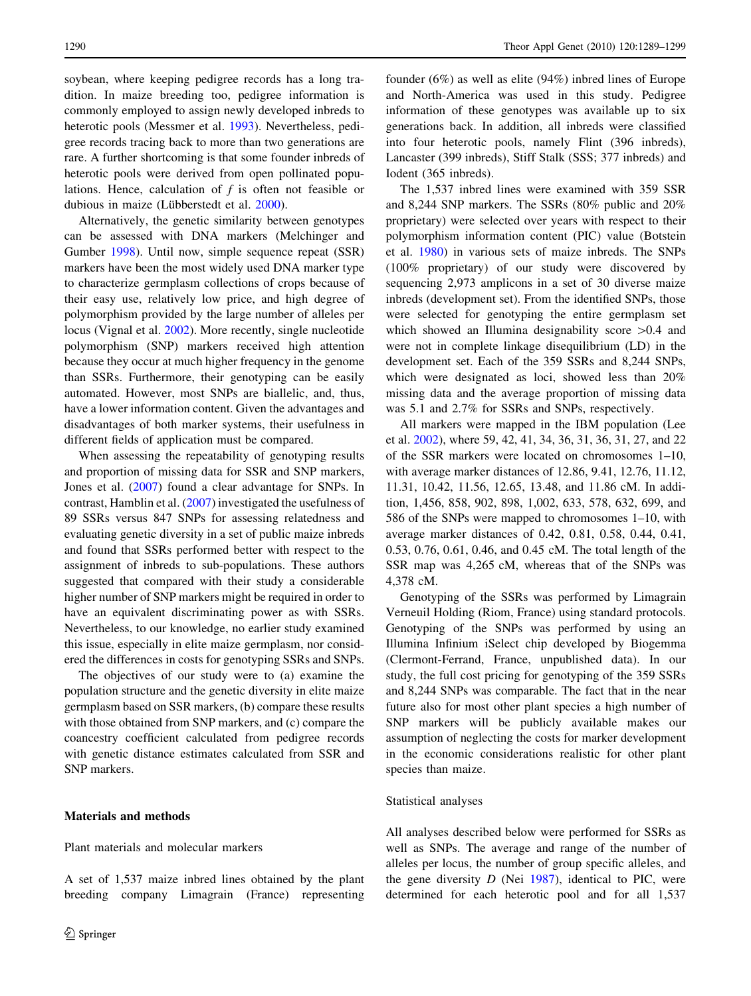<span id="page-1-0"></span>soybean, where keeping pedigree records has a long tradition. In maize breeding too, pedigree information is commonly employed to assign newly developed inbreds to heterotic pools (Messmer et al. [1993\)](#page-9-0). Nevertheless, pedigree records tracing back to more than two generations are rare. A further shortcoming is that some founder inbreds of heterotic pools were derived from open pollinated populations. Hence, calculation of f is often not feasible or dubious in maize (Lübberstedt et al. [2000\)](#page-9-0).

Alternatively, the genetic similarity between genotypes can be assessed with DNA markers (Melchinger and Gumber [1998\)](#page-9-0). Until now, simple sequence repeat (SSR) markers have been the most widely used DNA marker type to characterize germplasm collections of crops because of their easy use, relatively low price, and high degree of polymorphism provided by the large number of alleles per locus (Vignal et al. [2002](#page-10-0)). More recently, single nucleotide polymorphism (SNP) markers received high attention because they occur at much higher frequency in the genome than SSRs. Furthermore, their genotyping can be easily automated. However, most SNPs are biallelic, and, thus, have a lower information content. Given the advantages and disadvantages of both marker systems, their usefulness in different fields of application must be compared.

When assessing the repeatability of genotyping results and proportion of missing data for SSR and SNP markers, Jones et al. ([2007](#page-9-0)) found a clear advantage for SNPs. In contrast, Hamblin et al. ([2007\)](#page-9-0) investigated the usefulness of 89 SSRs versus 847 SNPs for assessing relatedness and evaluating genetic diversity in a set of public maize inbreds and found that SSRs performed better with respect to the assignment of inbreds to sub-populations. These authors suggested that compared with their study a considerable higher number of SNP markers might be required in order to have an equivalent discriminating power as with SSRs. Nevertheless, to our knowledge, no earlier study examined this issue, especially in elite maize germplasm, nor considered the differences in costs for genotyping SSRs and SNPs.

The objectives of our study were to (a) examine the population structure and the genetic diversity in elite maize germplasm based on SSR markers, (b) compare these results with those obtained from SNP markers, and (c) compare the coancestry coefficient calculated from pedigree records with genetic distance estimates calculated from SSR and SNP markers.

## Materials and methods

Plant materials and molecular markers

A set of 1,537 maize inbred lines obtained by the plant breeding company Limagrain (France) representing founder (6%) as well as elite (94%) inbred lines of Europe and North-America was used in this study. Pedigree information of these genotypes was available up to six generations back. In addition, all inbreds were classified into four heterotic pools, namely Flint (396 inbreds), Lancaster (399 inbreds), Stiff Stalk (SSS; 377 inbreds) and Iodent (365 inbreds).

The 1,537 inbred lines were examined with 359 SSR and 8,244 SNP markers. The SSRs (80% public and 20% proprietary) were selected over years with respect to their polymorphism information content (PIC) value (Botstein et al. [1980\)](#page-9-0) in various sets of maize inbreds. The SNPs (100% proprietary) of our study were discovered by sequencing 2,973 amplicons in a set of 30 diverse maize inbreds (development set). From the identified SNPs, those were selected for genotyping the entire germplasm set which showed an Illumina designability score  $\geq 0.4$  and were not in complete linkage disequilibrium (LD) in the development set. Each of the 359 SSRs and 8,244 SNPs, which were designated as loci, showed less than 20% missing data and the average proportion of missing data was 5.1 and 2.7% for SSRs and SNPs, respectively.

All markers were mapped in the IBM population (Lee et al. [2002](#page-9-0)), where 59, 42, 41, 34, 36, 31, 36, 31, 27, and 22 of the SSR markers were located on chromosomes 1–10, with average marker distances of 12.86, 9.41, 12.76, 11.12, 11.31, 10.42, 11.56, 12.65, 13.48, and 11.86 cM. In addition, 1,456, 858, 902, 898, 1,002, 633, 578, 632, 699, and 586 of the SNPs were mapped to chromosomes 1–10, with average marker distances of 0.42, 0.81, 0.58, 0.44, 0.41, 0.53, 0.76, 0.61, 0.46, and 0.45 cM. The total length of the SSR map was 4,265 cM, whereas that of the SNPs was 4,378 cM.

Genotyping of the SSRs was performed by Limagrain Verneuil Holding (Riom, France) using standard protocols. Genotyping of the SNPs was performed by using an Illumina Infinium iSelect chip developed by Biogemma (Clermont-Ferrand, France, unpublished data). In our study, the full cost pricing for genotyping of the 359 SSRs and 8,244 SNPs was comparable. The fact that in the near future also for most other plant species a high number of SNP markers will be publicly available makes our assumption of neglecting the costs for marker development in the economic considerations realistic for other plant species than maize.

#### Statistical analyses

All analyses described below were performed for SSRs as well as SNPs. The average and range of the number of alleles per locus, the number of group specific alleles, and the gene diversity  $D$  (Nei [1987](#page-9-0)), identical to PIC, were determined for each heterotic pool and for all 1,537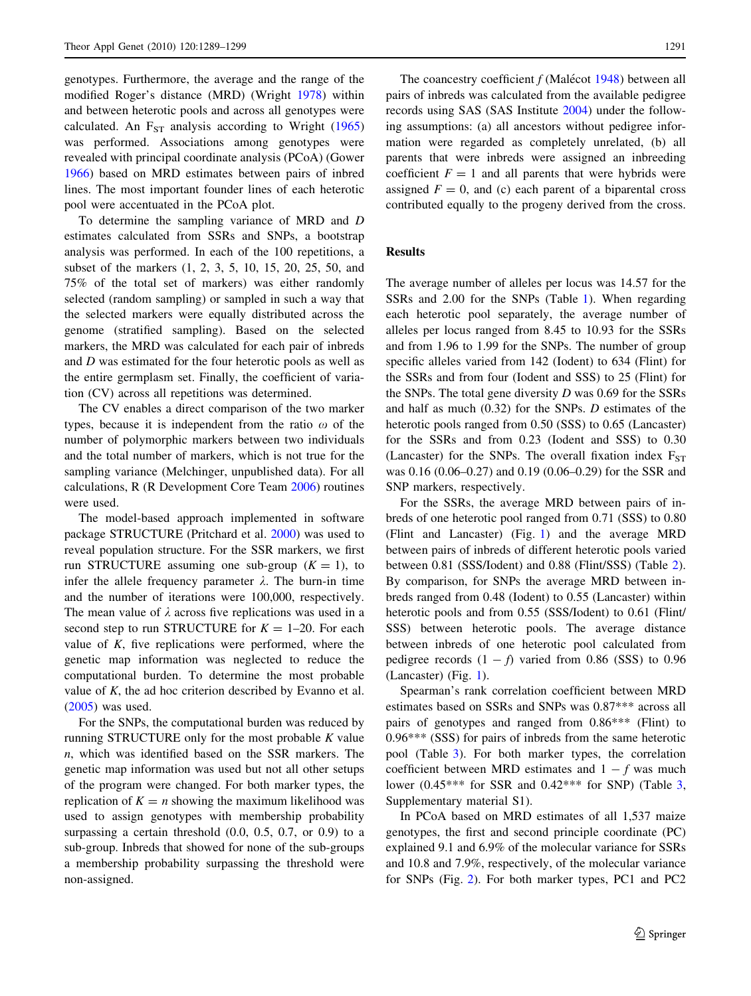genotypes. Furthermore, the average and the range of the modified Roger's distance (MRD) (Wright [1978\)](#page-10-0) within and between heterotic pools and across all genotypes were calculated. An  $F_{ST}$  analysis according to Wright ([1965\)](#page-10-0) was performed. Associations among genotypes were revealed with principal coordinate analysis (PCoA) (Gower [1966\)](#page-9-0) based on MRD estimates between pairs of inbred lines. The most important founder lines of each heterotic pool were accentuated in the PCoA plot.

To determine the sampling variance of MRD and D estimates calculated from SSRs and SNPs, a bootstrap analysis was performed. In each of the 100 repetitions, a subset of the markers (1, 2, 3, 5, 10, 15, 20, 25, 50, and 75% of the total set of markers) was either randomly selected (random sampling) or sampled in such a way that the selected markers were equally distributed across the genome (stratified sampling). Based on the selected markers, the MRD was calculated for each pair of inbreds and D was estimated for the four heterotic pools as well as the entire germplasm set. Finally, the coefficient of variation (CV) across all repetitions was determined.

The CV enables a direct comparison of the two marker types, because it is independent from the ratio  $\omega$  of the number of polymorphic markers between two individuals and the total number of markers, which is not true for the sampling variance (Melchinger, unpublished data). For all calculations, R (R Development Core Team [2006\)](#page-9-0) routines were used.

The model-based approach implemented in software package STRUCTURE (Pritchard et al. [2000\)](#page-9-0) was used to reveal population structure. For the SSR markers, we first run STRUCTURE assuming one sub-group  $(K = 1)$ , to infer the allele frequency parameter  $\lambda$ . The burn-in time and the number of iterations were 100,000, respectively. The mean value of  $\lambda$  across five replications was used in a second step to run STRUCTURE for  $K = 1-20$ . For each value of  $K$ , five replications were performed, where the genetic map information was neglected to reduce the computational burden. To determine the most probable value of  $K$ , the ad hoc criterion described by Evanno et al. [\(2005](#page-9-0)) was used.

For the SNPs, the computational burden was reduced by running STRUCTURE only for the most probable  $K$  value n, which was identified based on the SSR markers. The genetic map information was used but not all other setups of the program were changed. For both marker types, the replication of  $K = n$  showing the maximum likelihood was used to assign genotypes with membership probability surpassing a certain threshold (0.0, 0.5, 0.7, or 0.9) to a sub-group. Inbreds that showed for none of the sub-groups a membership probability surpassing the threshold were non-assigned.

The coancestry coefficient  $f$  (Malécot [1948\)](#page-9-0) between all pairs of inbreds was calculated from the available pedigree records using SAS (SAS Institute [2004](#page-10-0)) under the following assumptions: (a) all ancestors without pedigree information were regarded as completely unrelated, (b) all parents that were inbreds were assigned an inbreeding coefficient  $F = 1$  and all parents that were hybrids were assigned  $F = 0$ , and (c) each parent of a biparental cross contributed equally to the progeny derived from the cross.

## Results

The average number of alleles per locus was 14.57 for the SSRs and 2.00 for the SNPs (Table [1](#page-3-0)). When regarding each heterotic pool separately, the average number of alleles per locus ranged from 8.45 to 10.93 for the SSRs and from 1.96 to 1.99 for the SNPs. The number of group specific alleles varied from 142 (Iodent) to 634 (Flint) for the SSRs and from four (Iodent and SSS) to 25 (Flint) for the SNPs. The total gene diversity D was 0.69 for the SSRs and half as much (0.32) for the SNPs. D estimates of the heterotic pools ranged from 0.50 (SSS) to 0.65 (Lancaster) for the SSRs and from 0.23 (Iodent and SSS) to 0.30 (Lancaster) for the SNPs. The overall fixation index  $F_{ST}$ was 0.16 (0.06–0.27) and 0.19 (0.06–0.29) for the SSR and SNP markers, respectively.

For the SSRs, the average MRD between pairs of inbreds of one heterotic pool ranged from 0.71 (SSS) to 0.80 (Flint and Lancaster) (Fig. [1](#page-3-0)) and the average MRD between pairs of inbreds of different heterotic pools varied between 0.81 (SSS/Iodent) and 0.88 (Flint/SSS) (Table [2](#page-4-0)). By comparison, for SNPs the average MRD between inbreds ranged from 0.48 (Iodent) to 0.55 (Lancaster) within heterotic pools and from 0.55 (SSS/Iodent) to 0.61 (Flint/ SSS) between heterotic pools. The average distance between inbreds of one heterotic pool calculated from pedigree records  $(1 - f)$  varied from 0.86 (SSS) to 0.96 (Lancaster) (Fig. [1\)](#page-3-0).

Spearman's rank correlation coefficient between MRD estimates based on SSRs and SNPs was 0.87\*\*\* across all pairs of genotypes and ranged from 0.86\*\*\* (Flint) to 0.96\*\*\* (SSS) for pairs of inbreds from the same heterotic pool (Table [3](#page-4-0)). For both marker types, the correlation coefficient between MRD estimates and  $1 - f$  was much lower (0.45<sup>\*\*\*</sup> for SSR and 0.42<sup>\*\*\*</sup> for SNP) (Table [3,](#page-4-0) Supplementary material S1).

In PCoA based on MRD estimates of all 1,537 maize genotypes, the first and second principle coordinate (PC) explained 9.1 and 6.9% of the molecular variance for SSRs and 10.8 and 7.9%, respectively, of the molecular variance for SNPs (Fig. [2\)](#page-4-0). For both marker types, PC1 and PC2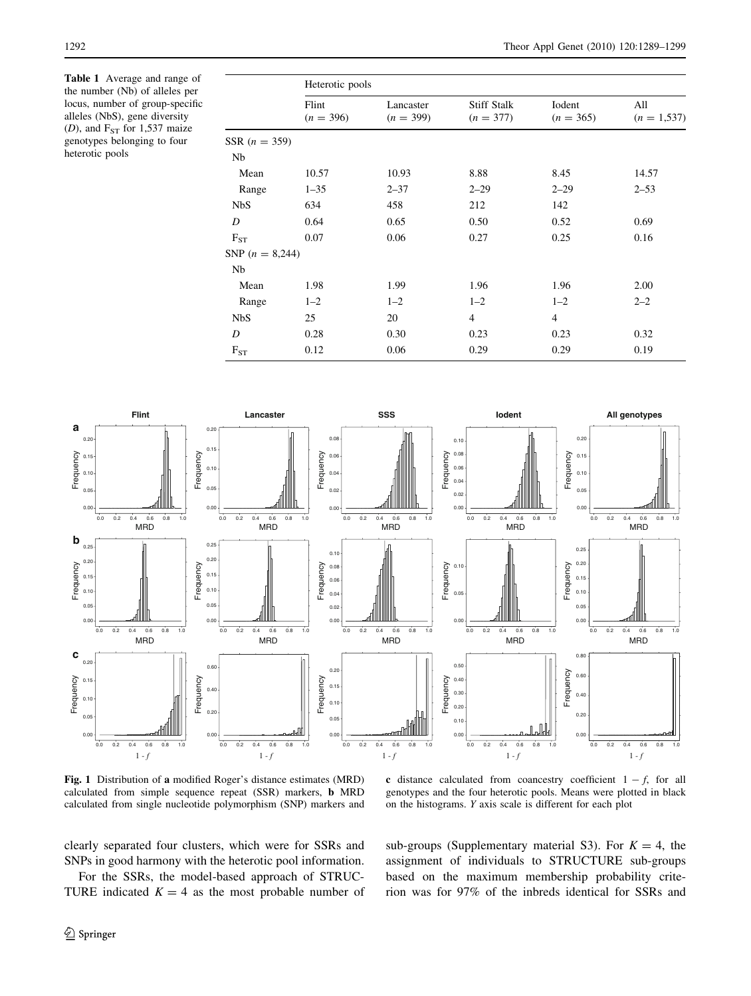Table 1 Average and range of the number (Nb) of alleles per locus, number of group-specific alleles (NbS), gene diversity (D), and  $F_{ST}$  for 1,537 maize genotypes belonging to four heterotic pools

|                   |                      | Heterotic pools          |                                   |                       |                      |  |  |
|-------------------|----------------------|--------------------------|-----------------------------------|-----------------------|----------------------|--|--|
|                   | Flint<br>$(n = 396)$ | Lancaster<br>$(n = 399)$ | <b>Stiff Stalk</b><br>$(n = 377)$ | Iodent<br>$(n = 365)$ | All<br>$(n = 1,537)$ |  |  |
| SSR $(n = 359)$   |                      |                          |                                   |                       |                      |  |  |
| Nb                |                      |                          |                                   |                       |                      |  |  |
| Mean              | 10.57                | 10.93                    | 8.88                              | 8.45                  | 14.57                |  |  |
| Range             | $1 - 35$             | $2 - 37$                 | $2 - 29$                          | $2 - 29$              | $2 - 53$             |  |  |
| <b>NbS</b>        | 634                  | 458                      | 212                               | 142                   |                      |  |  |
| D                 | 0.64                 | 0.65                     | 0.50                              | 0.52                  | 0.69                 |  |  |
| $F_{ST}$          | 0.07                 | 0.06                     | 0.27                              | 0.25                  | 0.16                 |  |  |
| SNP $(n = 8,244)$ |                      |                          |                                   |                       |                      |  |  |
| Nb                |                      |                          |                                   |                       |                      |  |  |
| Mean              | 1.98                 | 1.99                     | 1.96                              | 1.96                  | 2.00                 |  |  |
| Range             | $1 - 2$              | $1 - 2$                  | $1 - 2$                           | $1 - 2$               | $2 - 2$              |  |  |
| <b>NbS</b>        | 25                   | 20                       | $\overline{4}$                    | 4                     |                      |  |  |
| D                 | 0.28                 | 0.30                     | 0.23                              | 0.23                  | 0.32                 |  |  |
| $F_{ST}$          | 0.12                 | 0.06                     | 0.29                              | 0.29                  | 0.19                 |  |  |

<span id="page-3-0"></span>



Fig. 1 Distribution of a modified Roger's distance estimates (MRD) calculated from simple sequence repeat (SSR) markers, b MRD calculated from single nucleotide polymorphism (SNP) markers and

c distance calculated from coancestry coefficient  $1 - f$ , for all genotypes and the four heterotic pools. Means were plotted in black on the histograms. Y axis scale is different for each plot

clearly separated four clusters, which were for SSRs and SNPs in good harmony with the heterotic pool information.

For the SSRs, the model-based approach of STRUC-TURE indicated  $K = 4$  as the most probable number of sub-groups (Supplementary material S3). For  $K = 4$ , the assignment of individuals to STRUCTURE sub-groups based on the maximum membership probability criterion was for 97% of the inbreds identical for SSRs and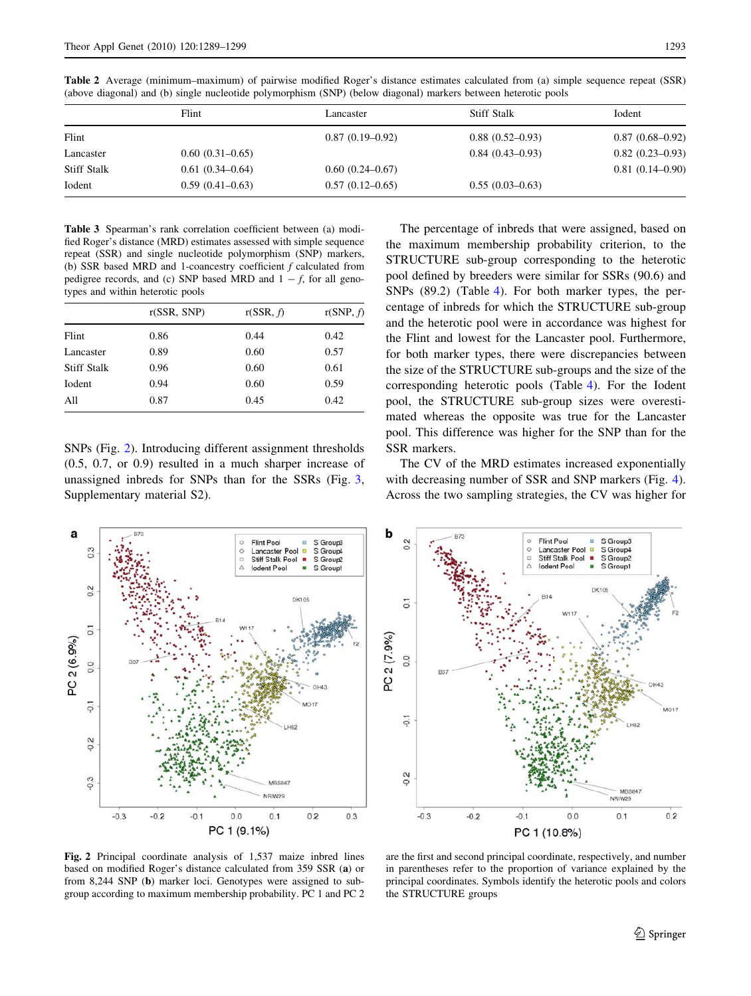| (above diagonal) and (b) single nucleotide polymorphism (SNP) (below diagonal) markers between heterotic pools |                     |                     |                    |                     |  |
|----------------------------------------------------------------------------------------------------------------|---------------------|---------------------|--------------------|---------------------|--|
|                                                                                                                | Flint               | Lancaster           | <b>Stiff Stalk</b> | Iodent              |  |
| Flint                                                                                                          |                     | $0.87(0.19-0.92)$   | $0.88(0.52-0.93)$  | $0.87(0.68 - 0.92)$ |  |
| Lancaster                                                                                                      | $0.60(0.31-0.65)$   |                     | $0.84(0.43-0.93)$  | $0.82(0.23 - 0.93)$ |  |
| <b>Stiff Stalk</b>                                                                                             | $0.61(0.34 - 0.64)$ | $0.60(0.24 - 0.67)$ |                    | $0.81(0.14-0.90)$   |  |
| Iodent                                                                                                         | $0.59(0.41-0.63)$   | $0.57(0.12 - 0.65)$ | $0.55(0.03-0.63)$  |                     |  |

<span id="page-4-0"></span>Table 2 Average (minimum–maximum) of pairwise modified Roger's distance estimates calculated from (a) simple sequence repeat (SSR) (above diagonal) and (b) single nucleotide polymorphism (SNP) (below diagonal) markers between heterotic pools

Table 3 Spearman's rank correlation coefficient between (a) modified Roger's distance (MRD) estimates assessed with simple sequence repeat (SSR) and single nucleotide polymorphism (SNP) markers, (b) SSR based MRD and 1-coancestry coefficient  $f$  calculated from pedigree records, and (c) SNP based MRD and  $1 - f$ , for all genotypes and within heterotic pools

|                    | r(SSR, SNP) | r(SSR, f) | r(SNP, f) |
|--------------------|-------------|-----------|-----------|
| Flint              | 0.86        | 0.44      | 0.42      |
| Lancaster          | 0.89        | 0.60      | 0.57      |
| <b>Stiff Stalk</b> | 0.96        | 0.60      | 0.61      |
| <b>I</b> odent     | 0.94        | 0.60      | 0.59      |
| All                | 0.87        | 0.45      | 0.42      |

SNPs (Fig. 2). Introducing different assignment thresholds (0.5, 0.7, or 0.9) resulted in a much sharper increase of unassigned inbreds for SNPs than for the SSRs (Fig. [3,](#page-5-0) Supplementary material S2).



The percentage of inbreds that were assigned, based on the maximum membership probability criterion, to the STRUCTURE sub-group corresponding to the heterotic pool defined by breeders were similar for SSRs (90.6) and SNPs (89.2) (Table [4\)](#page-6-0). For both marker types, the percentage of inbreds for which the STRUCTURE sub-group and the heterotic pool were in accordance was highest for the Flint and lowest for the Lancaster pool. Furthermore, for both marker types, there were discrepancies between the size of the STRUCTURE sub-groups and the size of the corresponding heterotic pools (Table [4\)](#page-6-0). For the Iodent pool, the STRUCTURE sub-group sizes were overestimated whereas the opposite was true for the Lancaster pool. This difference was higher for the SNP than for the SSR markers.

The CV of the MRD estimates increased exponentially with decreasing number of SSR and SNP markers (Fig. [4](#page-6-0)). Across the two sampling strategies, the CV was higher for



Fig. 2 Principal coordinate analysis of 1,537 maize inbred lines based on modified Roger's distance calculated from 359 SSR (a) or from 8,244 SNP (b) marker loci. Genotypes were assigned to subgroup according to maximum membership probability. PC 1 and PC 2

are the first and second principal coordinate, respectively, and number in parentheses refer to the proportion of variance explained by the principal coordinates. Symbols identify the heterotic pools and colors the STRUCTURE groups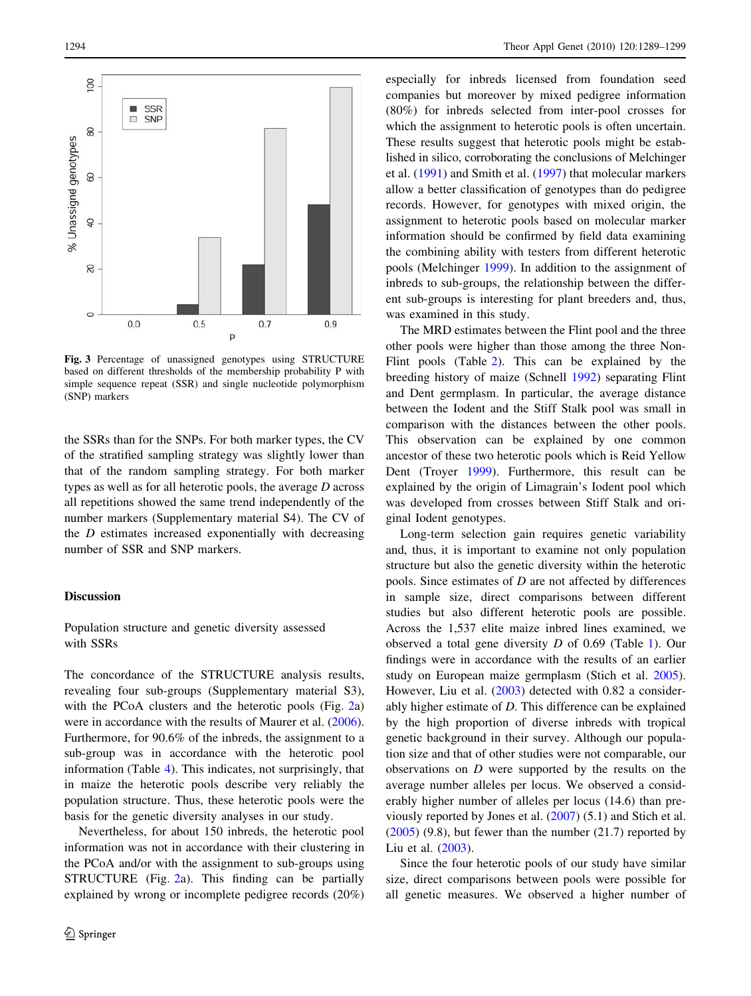<span id="page-5-0"></span>

Fig. 3 Percentage of unassigned genotypes using STRUCTURE based on different thresholds of the membership probability P with simple sequence repeat (SSR) and single nucleotide polymorphism (SNP) markers

the SSRs than for the SNPs. For both marker types, the CV of the stratified sampling strategy was slightly lower than that of the random sampling strategy. For both marker types as well as for all heterotic pools, the average D across all repetitions showed the same trend independently of the number markers (Supplementary material S4). The CV of the D estimates increased exponentially with decreasing number of SSR and SNP markers.

## **Discussion**

Population structure and genetic diversity assessed with SSRs

The concordance of the STRUCTURE analysis results, revealing four sub-groups (Supplementary material S3), with the PCoA clusters and the heterotic pools (Fig. [2](#page-4-0)a) were in accordance with the results of Maurer et al.  $(2006)$  $(2006)$ . Furthermore, for 90.6% of the inbreds, the assignment to a sub-group was in accordance with the heterotic pool information (Table [4\)](#page-6-0). This indicates, not surprisingly, that in maize the heterotic pools describe very reliably the population structure. Thus, these heterotic pools were the basis for the genetic diversity analyses in our study.

Nevertheless, for about 150 inbreds, the heterotic pool information was not in accordance with their clustering in the PCoA and/or with the assignment to sub-groups using STRUCTURE (Fig. [2](#page-4-0)a). This finding can be partially explained by wrong or incomplete pedigree records (20%) especially for inbreds licensed from foundation seed companies but moreover by mixed pedigree information (80%) for inbreds selected from inter-pool crosses for which the assignment to heterotic pools is often uncertain. These results suggest that heterotic pools might be established in silico, corroborating the conclusions of Melchinger et al. ([1991](#page-9-0)) and Smith et al. [\(1997](#page-10-0)) that molecular markers allow a better classification of genotypes than do pedigree records. However, for genotypes with mixed origin, the assignment to heterotic pools based on molecular marker information should be confirmed by field data examining the combining ability with testers from different heterotic pools (Melchinger [1999\)](#page-9-0). In addition to the assignment of inbreds to sub-groups, the relationship between the different sub-groups is interesting for plant breeders and, thus, was examined in this study.

The MRD estimates between the Flint pool and the three other pools were higher than those among the three Non-Flint pools (Table [2\)](#page-4-0). This can be explained by the breeding history of maize (Schnell [1992](#page-10-0)) separating Flint and Dent germplasm. In particular, the average distance between the Iodent and the Stiff Stalk pool was small in comparison with the distances between the other pools. This observation can be explained by one common ancestor of these two heterotic pools which is Reid Yellow Dent (Troyer [1999](#page-10-0)). Furthermore, this result can be explained by the origin of Limagrain's Iodent pool which was developed from crosses between Stiff Stalk and original Iodent genotypes.

Long-term selection gain requires genetic variability and, thus, it is important to examine not only population structure but also the genetic diversity within the heterotic pools. Since estimates of  $D$  are not affected by differences in sample size, direct comparisons between different studies but also different heterotic pools are possible. Across the 1,537 elite maize inbred lines examined, we observed a total gene diversity D of 0.69 (Table [1\)](#page-3-0). Our findings were in accordance with the results of an earlier study on European maize germplasm (Stich et al. [2005](#page-10-0)). However, Liu et al. [\(2003](#page-9-0)) detected with 0.82 a considerably higher estimate of D. This difference can be explained by the high proportion of diverse inbreds with tropical genetic background in their survey. Although our population size and that of other studies were not comparable, our observations on  $D$  were supported by the results on the average number alleles per locus. We observed a considerably higher number of alleles per locus (14.6) than previously reported by Jones et al. ([2007\)](#page-9-0) (5.1) and Stich et al.  $(2005)$  $(2005)$   $(9.8)$ , but fewer than the number  $(21.7)$  reported by Liu et al. [\(2003](#page-9-0)).

Since the four heterotic pools of our study have similar size, direct comparisons between pools were possible for all genetic measures. We observed a higher number of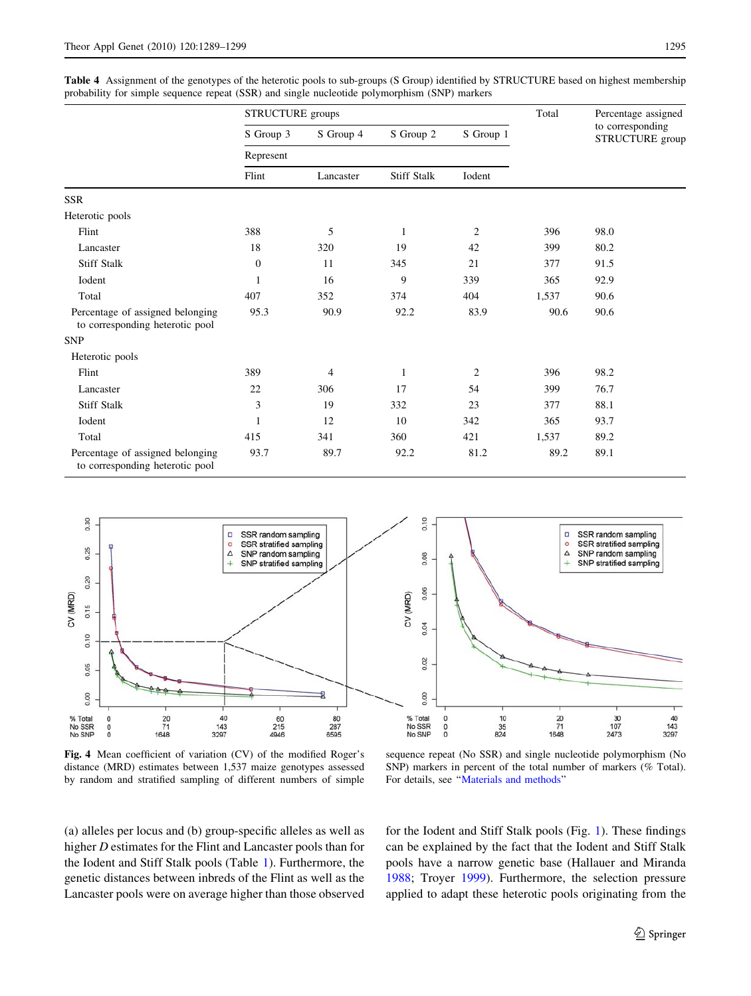<span id="page-6-0"></span>

|                                                                     | STRUCTURE groups |           |                    | Total     | Percentage assigned |                                     |
|---------------------------------------------------------------------|------------------|-----------|--------------------|-----------|---------------------|-------------------------------------|
|                                                                     | S Group 3        | S Group 4 | S Group 2          | S Group 1 |                     | to corresponding<br>STRUCTURE group |
|                                                                     | Represent        |           |                    |           |                     |                                     |
|                                                                     | Flint            | Lancaster | <b>Stiff Stalk</b> | Iodent    |                     |                                     |
| SSR                                                                 |                  |           |                    |           |                     |                                     |
| Heterotic pools                                                     |                  |           |                    |           |                     |                                     |
| Flint                                                               | 388              | 5         | 1                  | 2         | 396                 | 98.0                                |
| Lancaster                                                           | 18               | 320       | 19                 | 42        | 399                 | 80.2                                |
| <b>Stiff Stalk</b>                                                  | $\boldsymbol{0}$ | 11        | 345                | 21        | 377                 | 91.5                                |
| Iodent                                                              | 1                | 16        | 9                  | 339       | 365                 | 92.9                                |
| Total                                                               | 407              | 352       | 374                | 404       | 1,537               | 90.6                                |
| Percentage of assigned belonging<br>to corresponding heterotic pool | 95.3             | 90.9      | 92.2               | 83.9      | 90.6                | 90.6                                |
| <b>SNP</b>                                                          |                  |           |                    |           |                     |                                     |
| Heterotic pools                                                     |                  |           |                    |           |                     |                                     |
| Flint                                                               | 389              | 4         | 1                  | 2         | 396                 | 98.2                                |
| Lancaster                                                           | 22               | 306       | 17                 | 54        | 399                 | 76.7                                |
| <b>Stiff Stalk</b>                                                  | 3                | 19        | 332                | 23        | 377                 | 88.1                                |
| Iodent                                                              | 1                | 12        | 10                 | 342       | 365                 | 93.7                                |
| Total                                                               | 415              | 341       | 360                | 421       | 1,537               | 89.2                                |
| Percentage of assigned belonging<br>to corresponding heterotic pool | 93.7             | 89.7      | 92.2               | 81.2      | 89.2                | 89.1                                |



Fig. 4 Mean coefficient of variation (CV) of the modified Roger's distance (MRD) estimates between 1,537 maize genotypes assessed by random and stratified sampling of different numbers of simple

sequence repeat (No SSR) and single nucleotide polymorphism (No SNP) markers in percent of the total number of markers (% Total). For details, see '['Materials and methods'](#page-1-0)'

(a) alleles per locus and (b) group-specific alleles as well as higher D estimates for the Flint and Lancaster pools than for the Iodent and Stiff Stalk pools (Table [1](#page-3-0)). Furthermore, the genetic distances between inbreds of the Flint as well as the Lancaster pools were on average higher than those observed for the Iodent and Stiff Stalk pools (Fig. [1\)](#page-3-0). These findings can be explained by the fact that the Iodent and Stiff Stalk pools have a narrow genetic base (Hallauer and Miranda [1988](#page-9-0); Troyer [1999\)](#page-10-0). Furthermore, the selection pressure applied to adapt these heterotic pools originating from the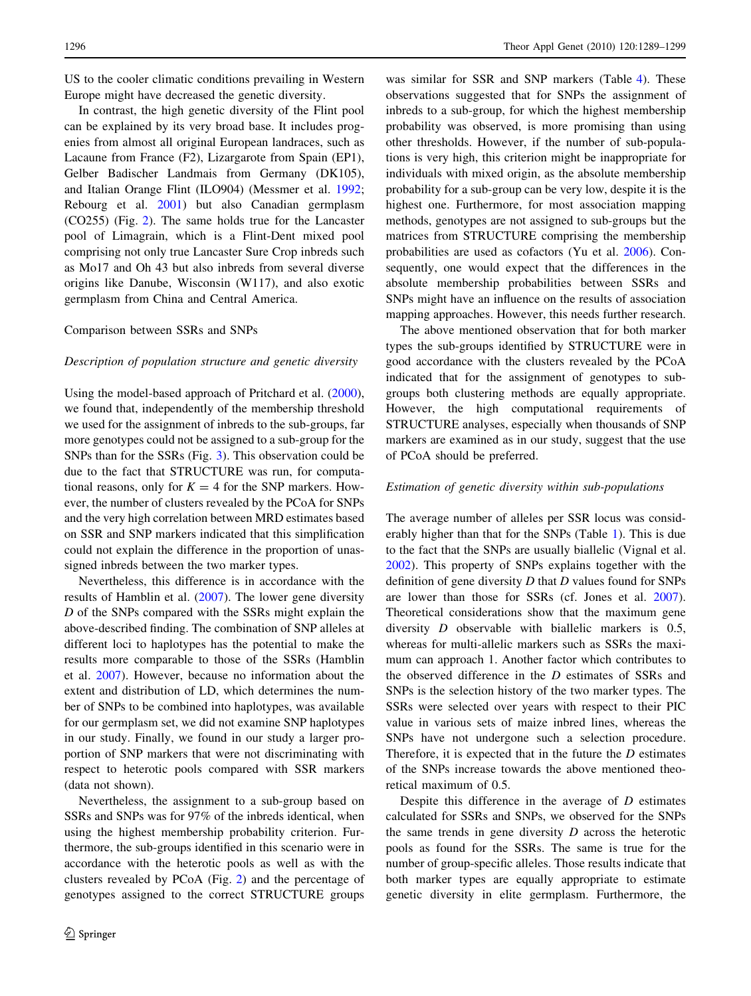US to the cooler climatic conditions prevailing in Western Europe might have decreased the genetic diversity.

In contrast, the high genetic diversity of the Flint pool can be explained by its very broad base. It includes progenies from almost all original European landraces, such as Lacaune from France (F2), Lizargarote from Spain (EP1), Gelber Badischer Landmais from Germany (DK105), and Italian Orange Flint (ILO904) (Messmer et al. [1992](#page-9-0); Rebourg et al. [2001\)](#page-10-0) but also Canadian germplasm (CO255) (Fig. [2](#page-4-0)). The same holds true for the Lancaster pool of Limagrain, which is a Flint-Dent mixed pool comprising not only true Lancaster Sure Crop inbreds such as Mo17 and Oh 43 but also inbreds from several diverse origins like Danube, Wisconsin (W117), and also exotic germplasm from China and Central America.

### Comparison between SSRs and SNPs

#### Description of population structure and genetic diversity

Using the model-based approach of Pritchard et al. [\(2000](#page-9-0)), we found that, independently of the membership threshold we used for the assignment of inbreds to the sub-groups, far more genotypes could not be assigned to a sub-group for the SNPs than for the SSRs (Fig. [3](#page-5-0)). This observation could be due to the fact that STRUCTURE was run, for computational reasons, only for  $K = 4$  for the SNP markers. However, the number of clusters revealed by the PCoA for SNPs and the very high correlation between MRD estimates based on SSR and SNP markers indicated that this simplification could not explain the difference in the proportion of unassigned inbreds between the two marker types.

Nevertheless, this difference is in accordance with the results of Hamblin et al. ([2007\)](#page-9-0). The lower gene diversity D of the SNPs compared with the SSRs might explain the above-described finding. The combination of SNP alleles at different loci to haplotypes has the potential to make the results more comparable to those of the SSRs (Hamblin et al. [2007](#page-9-0)). However, because no information about the extent and distribution of LD, which determines the number of SNPs to be combined into haplotypes, was available for our germplasm set, we did not examine SNP haplotypes in our study. Finally, we found in our study a larger proportion of SNP markers that were not discriminating with respect to heterotic pools compared with SSR markers (data not shown).

Nevertheless, the assignment to a sub-group based on SSRs and SNPs was for 97% of the inbreds identical, when using the highest membership probability criterion. Furthermore, the sub-groups identified in this scenario were in accordance with the heterotic pools as well as with the clusters revealed by PCoA (Fig. [2](#page-4-0)) and the percentage of genotypes assigned to the correct STRUCTURE groups

was similar for SSR and SNP markers (Table [4\)](#page-6-0). These observations suggested that for SNPs the assignment of inbreds to a sub-group, for which the highest membership probability was observed, is more promising than using other thresholds. However, if the number of sub-populations is very high, this criterion might be inappropriate for individuals with mixed origin, as the absolute membership probability for a sub-group can be very low, despite it is the highest one. Furthermore, for most association mapping methods, genotypes are not assigned to sub-groups but the matrices from STRUCTURE comprising the membership probabilities are used as cofactors (Yu et al. [2006\)](#page-10-0). Consequently, one would expect that the differences in the absolute membership probabilities between SSRs and SNPs might have an influence on the results of association mapping approaches. However, this needs further research.

The above mentioned observation that for both marker types the sub-groups identified by STRUCTURE were in good accordance with the clusters revealed by the PCoA indicated that for the assignment of genotypes to subgroups both clustering methods are equally appropriate. However, the high computational requirements of STRUCTURE analyses, especially when thousands of SNP markers are examined as in our study, suggest that the use of PCoA should be preferred.

#### Estimation of genetic diversity within sub-populations

The average number of alleles per SSR locus was considerably higher than that for the SNPs (Table [1\)](#page-3-0). This is due to the fact that the SNPs are usually biallelic (Vignal et al. [2002](#page-10-0)). This property of SNPs explains together with the definition of gene diversity  $D$  that  $D$  values found for SNPs are lower than those for SSRs (cf. Jones et al. [2007](#page-9-0)). Theoretical considerations show that the maximum gene diversity D observable with biallelic markers is 0.5, whereas for multi-allelic markers such as SSRs the maximum can approach 1. Another factor which contributes to the observed difference in the D estimates of SSRs and SNPs is the selection history of the two marker types. The SSRs were selected over years with respect to their PIC value in various sets of maize inbred lines, whereas the SNPs have not undergone such a selection procedure. Therefore, it is expected that in the future the  $D$  estimates of the SNPs increase towards the above mentioned theoretical maximum of 0.5.

Despite this difference in the average of  $D$  estimates calculated for SSRs and SNPs, we observed for the SNPs the same trends in gene diversity  $D$  across the heterotic pools as found for the SSRs. The same is true for the number of group-specific alleles. Those results indicate that both marker types are equally appropriate to estimate genetic diversity in elite germplasm. Furthermore, the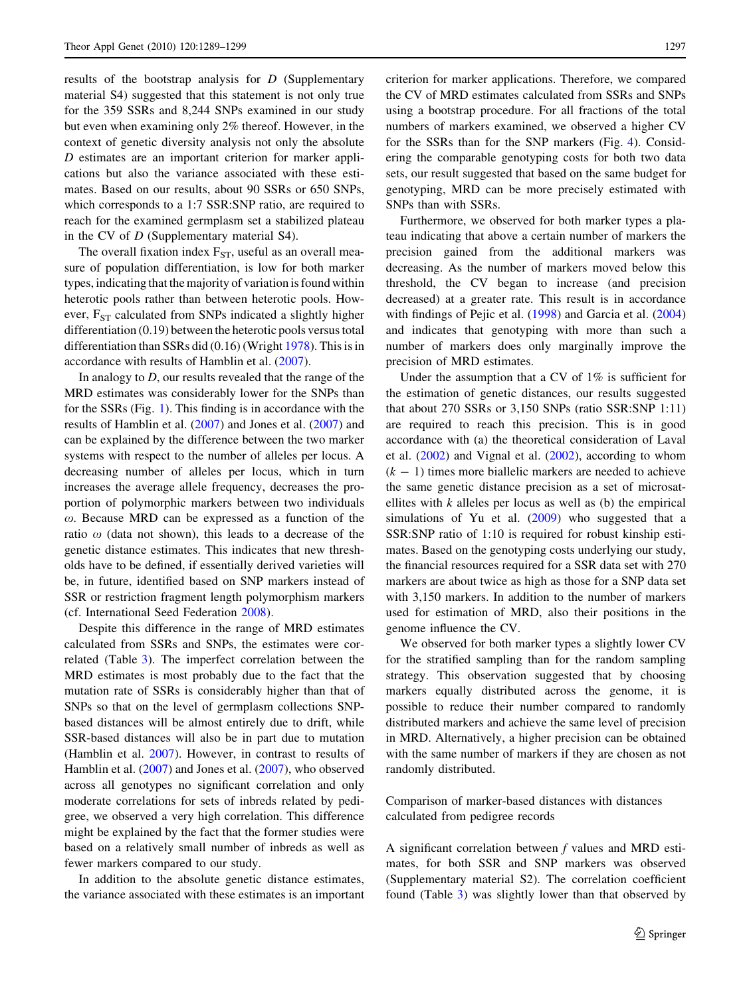results of the bootstrap analysis for D (Supplementary material S4) suggested that this statement is not only true for the 359 SSRs and 8,244 SNPs examined in our study but even when examining only 2% thereof. However, in the context of genetic diversity analysis not only the absolute D estimates are an important criterion for marker applications but also the variance associated with these estimates. Based on our results, about 90 SSRs or 650 SNPs, which corresponds to a 1:7 SSR:SNP ratio, are required to reach for the examined germplasm set a stabilized plateau in the CV of D (Supplementary material S4).

The overall fixation index  $F_{ST}$ , useful as an overall measure of population differentiation, is low for both marker types, indicating that the majority of variation is found within heterotic pools rather than between heterotic pools. However,  $F_{ST}$  calculated from SNPs indicated a slightly higher differentiation (0.19) between the heterotic pools versus total differentiation than SSRs did (0.16) (Wright [1978\)](#page-10-0). This is in accordance with results of Hamblin et al. [\(2007](#page-9-0)).

In analogy to  $D$ , our results revealed that the range of the MRD estimates was considerably lower for the SNPs than for the SSRs (Fig. [1](#page-3-0)). This finding is in accordance with the results of Hamblin et al. ([2007\)](#page-9-0) and Jones et al. ([2007\)](#page-9-0) and can be explained by the difference between the two marker systems with respect to the number of alleles per locus. A decreasing number of alleles per locus, which in turn increases the average allele frequency, decreases the proportion of polymorphic markers between two individuals  $\omega$ . Because MRD can be expressed as a function of the ratio  $\omega$  (data not shown), this leads to a decrease of the genetic distance estimates. This indicates that new thresholds have to be defined, if essentially derived varieties will be, in future, identified based on SNP markers instead of SSR or restriction fragment length polymorphism markers (cf. International Seed Federation [2008](#page-9-0)).

Despite this difference in the range of MRD estimates calculated from SSRs and SNPs, the estimates were correlated (Table [3](#page-4-0)). The imperfect correlation between the MRD estimates is most probably due to the fact that the mutation rate of SSRs is considerably higher than that of SNPs so that on the level of germplasm collections SNPbased distances will be almost entirely due to drift, while SSR-based distances will also be in part due to mutation (Hamblin et al. [2007](#page-9-0)). However, in contrast to results of Hamblin et al. [\(2007](#page-9-0)) and Jones et al. [\(2007](#page-9-0)), who observed across all genotypes no significant correlation and only moderate correlations for sets of inbreds related by pedigree, we observed a very high correlation. This difference might be explained by the fact that the former studies were based on a relatively small number of inbreds as well as fewer markers compared to our study.

In addition to the absolute genetic distance estimates, the variance associated with these estimates is an important criterion for marker applications. Therefore, we compared the CV of MRD estimates calculated from SSRs and SNPs using a bootstrap procedure. For all fractions of the total numbers of markers examined, we observed a higher CV for the SSRs than for the SNP markers (Fig. [4\)](#page-6-0). Considering the comparable genotyping costs for both two data sets, our result suggested that based on the same budget for genotyping, MRD can be more precisely estimated with SNPs than with SSRs.

Furthermore, we observed for both marker types a plateau indicating that above a certain number of markers the precision gained from the additional markers was decreasing. As the number of markers moved below this threshold, the CV began to increase (and precision decreased) at a greater rate. This result is in accordance with findings of Pejic et al. ([1998\)](#page-9-0) and Garcia et al. ([2004\)](#page-9-0) and indicates that genotyping with more than such a number of markers does only marginally improve the precision of MRD estimates.

Under the assumption that a CV of 1% is sufficient for the estimation of genetic distances, our results suggested that about 270 SSRs or 3,150 SNPs (ratio SSR:SNP 1:11) are required to reach this precision. This is in good accordance with (a) the theoretical consideration of Laval et al. [\(2002](#page-9-0)) and Vignal et al. ([2002\)](#page-10-0), according to whom  $(k - 1)$  times more biallelic markers are needed to achieve the same genetic distance precision as a set of microsatellites with  $k$  alleles per locus as well as (b) the empirical simulations of Yu et al. ([2009\)](#page-10-0) who suggested that a SSR:SNP ratio of 1:10 is required for robust kinship estimates. Based on the genotyping costs underlying our study, the financial resources required for a SSR data set with 270 markers are about twice as high as those for a SNP data set with 3,150 markers. In addition to the number of markers used for estimation of MRD, also their positions in the genome influence the CV.

We observed for both marker types a slightly lower CV for the stratified sampling than for the random sampling strategy. This observation suggested that by choosing markers equally distributed across the genome, it is possible to reduce their number compared to randomly distributed markers and achieve the same level of precision in MRD. Alternatively, a higher precision can be obtained with the same number of markers if they are chosen as not randomly distributed.

Comparison of marker-based distances with distances calculated from pedigree records

A significant correlation between f values and MRD estimates, for both SSR and SNP markers was observed (Supplementary material S2). The correlation coefficient found (Table [3\)](#page-4-0) was slightly lower than that observed by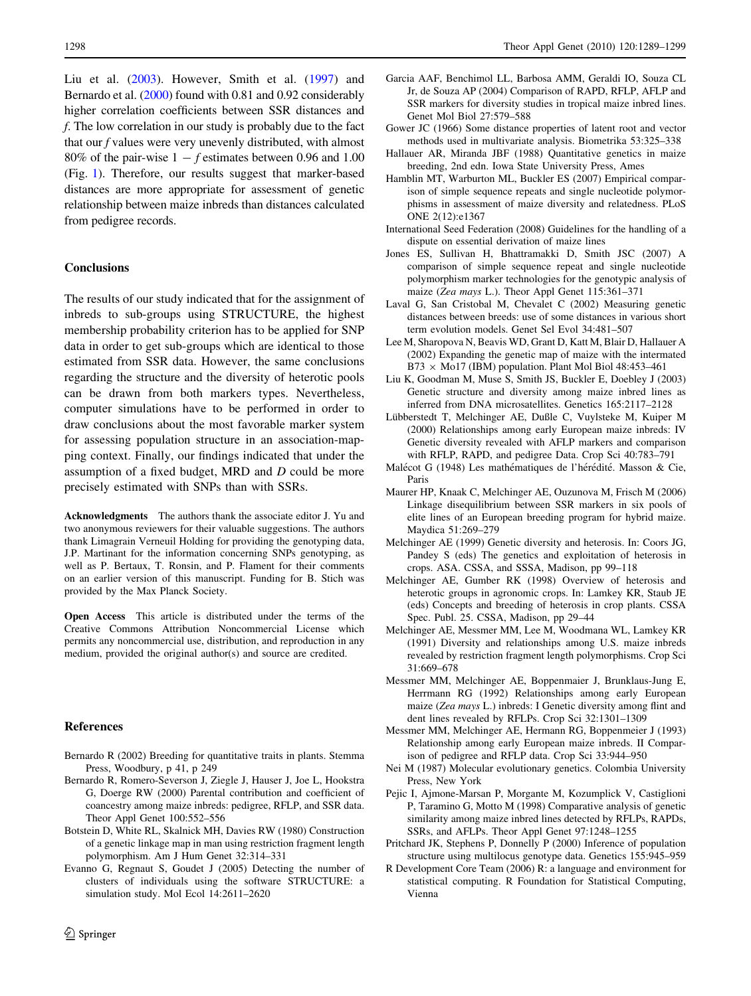<span id="page-9-0"></span>Liu et al. (2003). However, Smith et al. [\(1997](#page-10-0)) and Bernardo et al. (2000) found with 0.81 and 0.92 considerably higher correlation coefficients between SSR distances and f. The low correlation in our study is probably due to the fact that our f values were very unevenly distributed, with almost 80% of the pair-wise  $1 - f$  estimates between 0.96 and 1.00 (Fig. [1\)](#page-3-0). Therefore, our results suggest that marker-based distances are more appropriate for assessment of genetic relationship between maize inbreds than distances calculated from pedigree records.

## **Conclusions**

The results of our study indicated that for the assignment of inbreds to sub-groups using STRUCTURE, the highest membership probability criterion has to be applied for SNP data in order to get sub-groups which are identical to those estimated from SSR data. However, the same conclusions regarding the structure and the diversity of heterotic pools can be drawn from both markers types. Nevertheless, computer simulations have to be performed in order to draw conclusions about the most favorable marker system for assessing population structure in an association-mapping context. Finally, our findings indicated that under the assumption of a fixed budget, MRD and D could be more precisely estimated with SNPs than with SSRs.

Acknowledgments The authors thank the associate editor J. Yu and two anonymous reviewers for their valuable suggestions. The authors thank Limagrain Verneuil Holding for providing the genotyping data, J.P. Martinant for the information concerning SNPs genotyping, as well as P. Bertaux, T. Ronsin, and P. Flament for their comments on an earlier version of this manuscript. Funding for B. Stich was provided by the Max Planck Society.

Open Access This article is distributed under the terms of the Creative Commons Attribution Noncommercial License which permits any noncommercial use, distribution, and reproduction in any medium, provided the original author(s) and source are credited.

## References

- Bernardo R (2002) Breeding for quantitative traits in plants. Stemma Press, Woodbury, p 41, p 249
- Bernardo R, Romero-Severson J, Ziegle J, Hauser J, Joe L, Hookstra G, Doerge RW (2000) Parental contribution and coefficient of coancestry among maize inbreds: pedigree, RFLP, and SSR data. Theor Appl Genet 100:552–556
- Botstein D, White RL, Skalnick MH, Davies RW (1980) Construction of a genetic linkage map in man using restriction fragment length polymorphism. Am J Hum Genet 32:314–331
- Evanno G, Regnaut S, Goudet J (2005) Detecting the number of clusters of individuals using the software STRUCTURE: a simulation study. Mol Ecol 14:2611–2620
- Garcia AAF, Benchimol LL, Barbosa AMM, Geraldi IO, Souza CL Jr, de Souza AP (2004) Comparison of RAPD, RFLP, AFLP and SSR markers for diversity studies in tropical maize inbred lines. Genet Mol Biol 27:579–588
- Gower JC (1966) Some distance properties of latent root and vector methods used in multivariate analysis. Biometrika 53:325–338
- Hallauer AR, Miranda JBF (1988) Quantitative genetics in maize breeding, 2nd edn. Iowa State University Press, Ames
- Hamblin MT, Warburton ML, Buckler ES (2007) Empirical comparison of simple sequence repeats and single nucleotide polymorphisms in assessment of maize diversity and relatedness. PLoS ONE 2(12):e1367
- International Seed Federation (2008) Guidelines for the handling of a dispute on essential derivation of maize lines
- Jones ES, Sullivan H, Bhattramakki D, Smith JSC (2007) A comparison of simple sequence repeat and single nucleotide polymorphism marker technologies for the genotypic analysis of maize (Zea mays L.). Theor Appl Genet 115:361–371
- Laval G, San Cristobal M, Chevalet C (2002) Measuring genetic distances between breeds: use of some distances in various short term evolution models. Genet Sel Evol 34:481–507
- Lee M, Sharopova N, Beavis WD, Grant D, Katt M, Blair D, Hallauer A (2002) Expanding the genetic map of maize with the intermated  $B73 \times$  Mo17 (IBM) population. Plant Mol Biol 48:453–461
- Liu K, Goodman M, Muse S, Smith JS, Buckler E, Doebley J (2003) Genetic structure and diversity among maize inbred lines as inferred from DNA microsatellites. Genetics 165:2117–2128
- Lübberstedt T, Melchinger AE, Dußle C, Vuylsteke M, Kuiper M (2000) Relationships among early European maize inbreds: IV Genetic diversity revealed with AFLP markers and comparison with RFLP, RAPD, and pedigree Data. Crop Sci 40:783–791
- Malécot G (1948) Les mathématiques de l'hérédité. Masson & Cie, Paris
- Maurer HP, Knaak C, Melchinger AE, Ouzunova M, Frisch M (2006) Linkage disequilibrium between SSR markers in six pools of elite lines of an European breeding program for hybrid maize. Maydica 51:269–279
- Melchinger AE (1999) Genetic diversity and heterosis. In: Coors JG, Pandey S (eds) The genetics and exploitation of heterosis in crops. ASA. CSSA, and SSSA, Madison, pp 99–118
- Melchinger AE, Gumber RK (1998) Overview of heterosis and heterotic groups in agronomic crops. In: Lamkey KR, Staub JE (eds) Concepts and breeding of heterosis in crop plants. CSSA Spec. Publ. 25. CSSA, Madison, pp 29–44
- Melchinger AE, Messmer MM, Lee M, Woodmana WL, Lamkey KR (1991) Diversity and relationships among U.S. maize inbreds revealed by restriction fragment length polymorphisms. Crop Sci 31:669–678
- Messmer MM, Melchinger AE, Boppenmaier J, Brunklaus-Jung E, Herrmann RG (1992) Relationships among early European maize (Zea mays L.) inbreds: I Genetic diversity among flint and dent lines revealed by RFLPs. Crop Sci 32:1301–1309
- Messmer MM, Melchinger AE, Hermann RG, Boppenmeier J (1993) Relationship among early European maize inbreds. II Comparison of pedigree and RFLP data. Crop Sci 33:944–950
- Nei M (1987) Molecular evolutionary genetics. Colombia University Press, New York
- Pejic I, Ajmone-Marsan P, Morgante M, Kozumplick V, Castiglioni P, Taramino G, Motto M (1998) Comparative analysis of genetic similarity among maize inbred lines detected by RFLPs, RAPDs, SSRs, and AFLPs. Theor Appl Genet 97:1248–1255
- Pritchard JK, Stephens P, Donnelly P (2000) Inference of population structure using multilocus genotype data. Genetics 155:945–959
- R Development Core Team (2006) R: a language and environment for statistical computing. R Foundation for Statistical Computing, Vienna